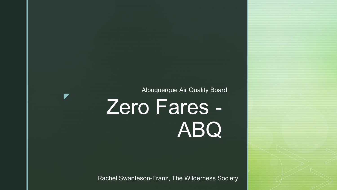Albuquerque Air Quality Board

## Zero Fares - ABQ

 $\blacktriangledown$ 

Rachel Swanteson-Franz, The Wilderness Society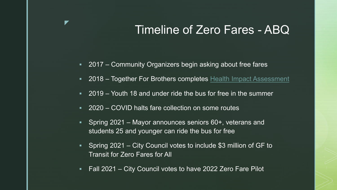## Timeline of Zero Fares - ABQ

- 2017 Community Organizers begin asking about free fares
- 2018 Together For Brothers completes [Health Impact Assessment](http://nmhep.org/resources/hia-reports/t4b/:%7E:text=Together%20for%20Brothers%20(T4B)%2C,impacts%20of%20the%20City%20of)
- 2019 Youth 18 and under ride the bus for free in the summer
- 2020 COVID halts fare collection on some routes

▼

- Spring 2021 Mayor announces seniors 60+, veterans and students 25 and younger can ride the bus for free
- Spring 2021 City Council votes to include \$3 million of GF to Transit for Zero Fares for All
- **Fall 2021 City Council votes to have 2022 Zero Fare Pilot**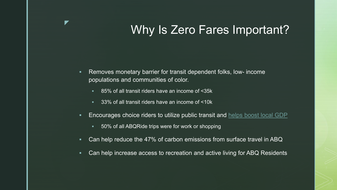## Why Is Zero Fares Important?

- Removes monetary barrier for transit dependent folks, low- income populations and communities of color.
	- 85% of all transit riders have an income of <35k

▼

- 33% of all transit riders have an income of <10k
- **Encourages choice riders to utilize public transit and [helps boost local GDP](https://www.apta.com/wp-content/uploads/APTA-Economic-Impact-Public-Transit-2020.pdf)** 
	- 50% of all ABQRide trips were for work or shopping
- Can help reduce the 47% of carbon emissions from surface travel in ABQ
- Can help increase access to recreation and active living for ABQ Residents